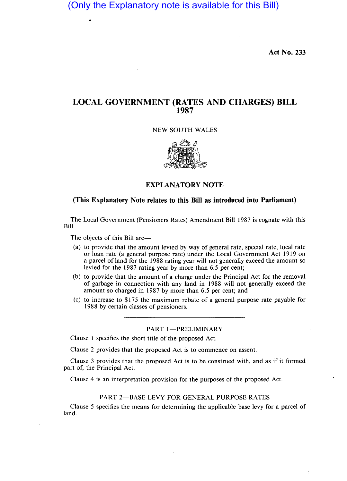(Only the Explanatory note is available for this Bill)

**Act No. 233** 

# **LOCAL GOVERNMENT (RATES AND CHARGES) BILL 1987**

#### NEW SOUTH WALES



### **EXPLANATORY NOTE**

### **(This Explanatory Note relates to this Bill as introduced into Parliament)**

The Local Government (Pensioners Rates) Amendment Bill 1987 is cognate with this Bill.

The objects of this Bill are-

- (a) to provide that the amount levied by way of general rate, special rate, local rate or loan rate (a general purpose rate) under the Local Government Act 1919 on a parcel of land for the 1988 rating year will not generally exceed the amount so levied for the 1987 rating year by more than 6.5 per cent;
- (b) to provide that the amount of a charge under the Principal Act for the removal of garbage in connection with any land in 1988 will not generally exceed the amount so charged in 1987 by more than 6.5 per cent; and
- (c) to increase to \$175 the maximum rebate of a general purpose rate payable for 1988 by certain classes of pensioners.

### PART 1-PRELIMINARY

Clause 1 specifies the short title of the proposed Act.

Clause 2 provides that the proposed Act is to commence on assent.

Clause 3 provides that the proposed Act is to be construed with, and as if it formed part of, the Principal Act.

Clause 4 is an interpretation provision for the purposes of the proposed Act.

#### PART 2-BASE LEVY FOR GENERAL PURPOSE RATES

Clause 5 specifies the means for determining the applicable base levy for a parcel of land.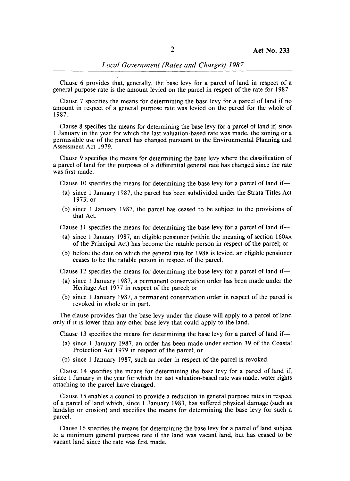### *Local Government (Rates and Charges) 1987*

Clause 6 provides that, generally, the base levy for a parcel of land in respect of a general purpose rate is the amount levied on the parcel in respect of the rate for 1987.

Clause 7 specifies the means for determining the base levy for a parcel of land if no amount in respect of a general purpose rate was levied on the parcel for the whole of 1987.

Clause 8 specifies the means for determining the base levy for a parcel of land if, since 1 January in the year for which the last valuation-based rate was made, the zoning or a permissible use of the parcel has changed pursuant to the Environmental Planning and Assessment Act 1979.

Clause 9 specifies the means for determining the base levy where the classification of a parcel of land for the purposes of a differential general rate has changed since the rate was first made.

Clause 10 specifies the means for determining the base levy for a parcel of land if-

- (a) since 1 January 1987, the parcel has been subdivided under the Strata Titles Act 1973; or
- (b) since 1 January 1987, the parcel has ceased to be subject to the provisions of that Act.

Clause 11 specifies the means for determining the base levy for a parcel of land if-

- (a) since 1 January 1987, an eligible pensioner (within the meaning of section 160AA of the Principal Act) has become the ratable person in respect of the parcel; or
- (b) before the date on which the general rate for 1988 is levied, an eligible pensioner ceases to be the ratable person in respect of the parcel.

Clause 12 specifies the means for determining the base levy for a parcel of land if—

- (a) since 1 January 1987, a permanent conservation order has been made under the Heritage Act 1977 in respect of the parcel; or
- (b) since 1 January 1987, a permanent conservation order in respect of the parcel is revoked in whole or in part.

The clause provides that the base levy under the clause will apply to a parcel of land only if it is lower than any other base levy that could apply to the land.

Clause 13 specifies the means for determining the base levy for a parcel of land if-

- (a) since 1 January 1987, an order has been made under section 39 of the Coastal Protection Act 1979 in respect of the parcel; or
- (b) since 1 January 1987, such an order in respect of the parcel is revoked.

Clause 14 specifies the means for determining the base levy for a parcel of land if, since 1 January in the year for which the last valuation-based rate was made, water rights attaching to the parcel have changed.

Clause 15 enables a council to provide a reduction in general purpose rates in respect of a parcel of land which, since 1 January 1983, has suffered physical damage (such as landslip or erosion) and specifies the means for determining the base levy for such a parcel.

Clause 16 specifies the means for determining the base levy for a parcel of land subject to a minimum general purpose rate if the land was vacant land, but has ceased to be vacant land since the rate was first made.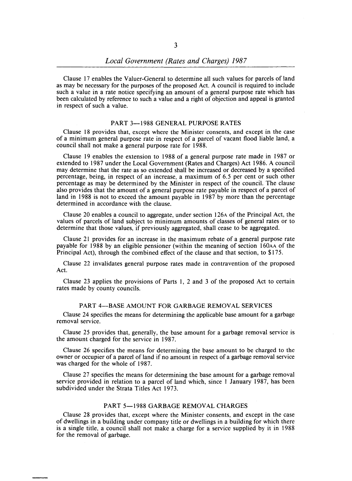Clause 17 enables the Valuer-General to determine all such values for parcels of land as may be necessary for the purposes of the proposed Act. A council is required to include such a value in a rate notice specifying an amount of a general purpose rate which has been calculated by reference to such a value and a right of objection and appeal is granted in respect of such a value.

#### PART 3-1988 GENERAL PURPOSE RATES

Clause 18 provides that, except where the Minister consents, and except in the case of a minimum general purpose rate in respect of a parcel of vacant flood liable land, a council shall not make a general purpose rate for 1988.

Clause 19 enables the extension to 1988 of a general purpose rate made in 1987 or extended to 1987 under the Local Government (Rates and Charges) Act 1986. A council may determine that the rate as so extended shall be increased or decreased by a specified percentage, being, in respect of an increase, a maximum of 6.5 per cent or such other percentage as may be determined by the Minister in respect of the council. The clause also provides that the amount of a general purpose rate payable in respect of a parcel of land in 1988 is not to exceed the amount payable in 1987 by more than the percentage determined in accordance with the clause.

Clause 20 enables a council to aggregate, under section 126A of the Principal Act, the values of parcels of land subject to minimum amounts of classes of general rates or to determine that those values, if previously aggregated, shall cease to be aggregated.

Clause 21 provides for an increase in the maximum rebate of a general purpose rate payable for 1988 by an eligible pensioner (within the meaning of section 160AA of the Principal Act), through the combined effect of the clause and that section, to \$175.

Clause 22 invalidates general purpose rates made in contravention of the proposed Act.

Clause 23 applies the provisions of Parts 1, 2 and 3 of the proposed Act to certain rates made by county councils.

### PART 4-BASE AMOUNT FOR GARBAGE REMOVAL SERVICES

Clause 24 specifies the means for determining the applicable base amount for a garbage removal service.

Clause 25 provides that, generally, the base amount for a garbage removal service is the amount charged for the service in 1987.

Clause 26 specifies the means for determining the base amount to be charged to the owner or occupier of a parcel of land if no amount in respect of a garbage removal service was charged for the whole of 1987.

Clause 27 specifies the means for determining the base amount for a garbage removal service provided in relation to a parcel of land which, since 1 January 1987, has been subdivided under the Strata Titles Act 1973.

#### PART 5-1988 GARBAGE REMOVAL CHARGES

Clause 28 provides that, except where the Minister consents, and except in the case of dwellings in a building under company title or dwellings in a building for which there is a single title, a council shall not make a charge for a service supplied by it in 1988 for the removal of garbage.